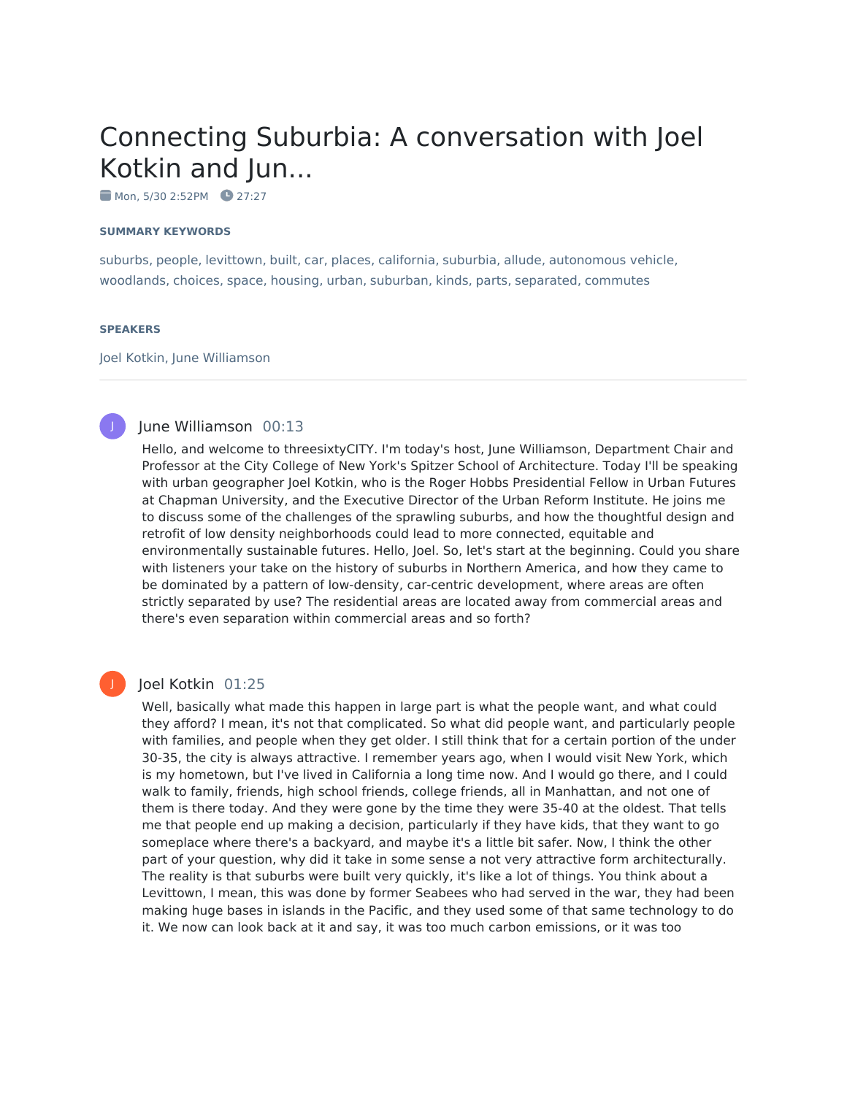# Connecting Suburbia: A conversation with Joel Kotkin and Jun...

 $M$ on, 5/30 2:52PM  $Q$  27:27

#### **SUMMARY KEYWORDS**

suburbs, people, levittown, built, car, places, california, suburbia, allude, autonomous vehicle, woodlands, choices, space, housing, urban, suburban, kinds, parts, separated, commutes

#### **SPEAKERS**

Joel Kotkin, June Williamson



#### June Williamson 00:13

Hello, and welcome to threesixtyCITY. I'm today's host, June Williamson, Department Chair and Professor at the City College of New York's Spitzer School of Architecture. Today I'll be speaking with urban geographer Joel Kotkin, who is the Roger Hobbs Presidential Fellow in Urban Futures at Chapman University, and the Executive Director of the Urban Reform Institute. He joins me to discuss some of the challenges of the sprawling suburbs, and how the thoughtful design and retrofit of low density neighborhoods could lead to more connected, equitable and environmentally sustainable futures. Hello, Joel. So, let's start at the beginning. Could you share with listeners your take on the history of suburbs in Northern America, and how they came to be dominated by a pattern of low-density, car-centric development, where areas are often strictly separated by use? The residential areas are located away from commercial areas and there's even separation within commercial areas and so forth?

## Joel Kotkin 01:25

Well, basically what made this happen in large part is what the people want, and what could they afford? I mean, it's not that complicated. So what did people want, and particularly people with families, and people when they get older. I still think that for a certain portion of the under 30-35, the city is always attractive. I remember years ago, when I would visit New York, which is my hometown, but I've lived in California a long time now. And I would go there, and I could walk to family, friends, high school friends, college friends, all in Manhattan, and not one of them is there today. And they were gone by the time they were 35-40 at the oldest. That tells me that people end up making a decision, particularly if they have kids, that they want to go someplace where there's a backyard, and maybe it's a little bit safer. Now, I think the other part of your question, why did it take in some sense a not very attractive form architecturally. The reality is that suburbs were built very quickly, it's like a lot of things. You think about a Levittown, I mean, this was done by former Seabees who had served in the war, they had been making huge bases in islands in the Pacific, and they used some of that same technology to do it. We now can look back at it and say, it was too much carbon emissions, or it was too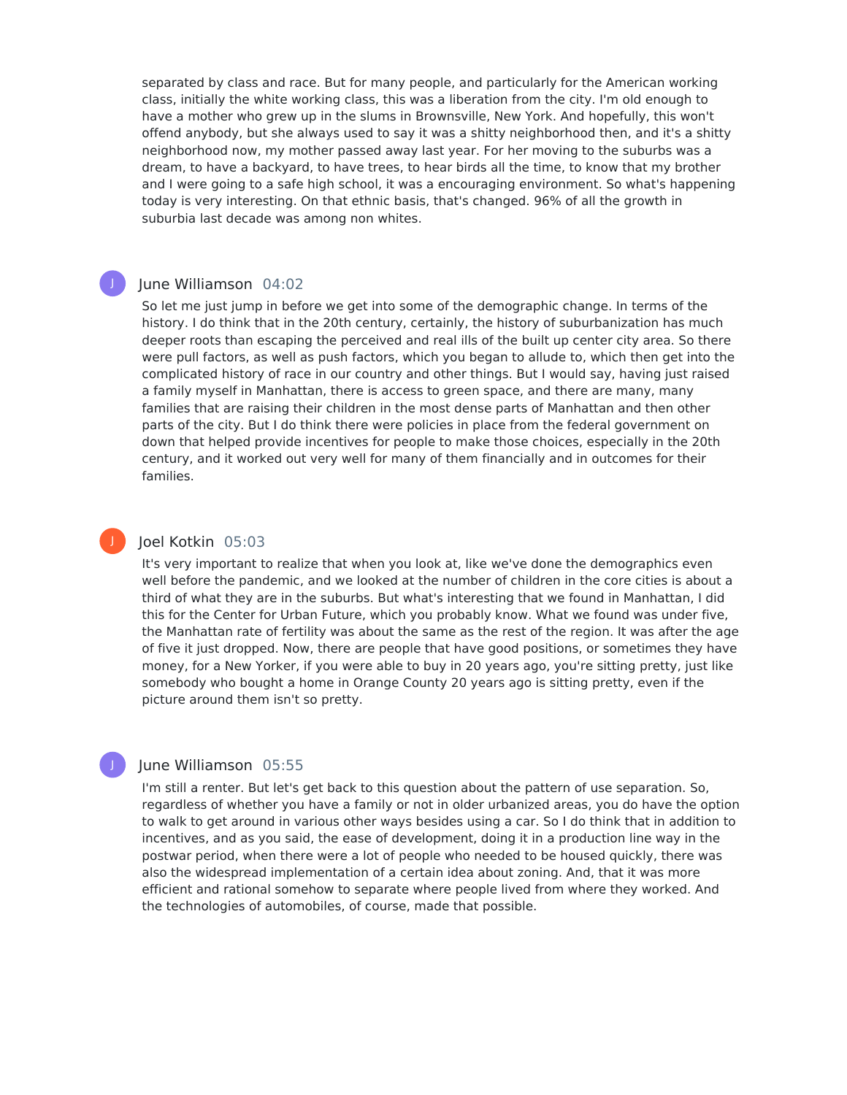separated by class and race. But for many people, and particularly for the American working class, initially the white working class, this was a liberation from the city. I'm old enough to have a mother who grew up in the slums in Brownsville, New York. And hopefully, this won't offend anybody, but she always used to say it was a shitty neighborhood then, and it's a shitty neighborhood now, my mother passed away last year. For her moving to the suburbs was a dream, to have a backyard, to have trees, to hear birds all the time, to know that my brother and I were going to a safe high school, it was a encouraging environment. So what's happening today is very interesting. On that ethnic basis, that's changed. 96% of all the growth in suburbia last decade was among non whites.

### June Williamson 04:02

J

J

So let me just jump in before we get into some of the demographic change. In terms of the history. I do think that in the 20th century, certainly, the history of suburbanization has much deeper roots than escaping the perceived and real ills of the built up center city area. So there were pull factors, as well as push factors, which you began to allude to, which then get into the complicated history of race in our country and other things. But I would say, having just raised a family myself in Manhattan, there is access to green space, and there are many, many families that are raising their children in the most dense parts of Manhattan and then other parts of the city. But I do think there were policies in place from the federal government on down that helped provide incentives for people to make those choices, especially in the 20th century, and it worked out very well for many of them financially and in outcomes for their families.

#### Joel Kotkin 05:03

It's very important to realize that when you look at, like we've done the demographics even well before the pandemic, and we looked at the number of children in the core cities is about a third of what they are in the suburbs. But what's interesting that we found in Manhattan, I did this for the Center for Urban Future, which you probably know. What we found was under five, the Manhattan rate of fertility was about the same as the rest of the region. It was after the age of five it just dropped. Now, there are people that have good positions, or sometimes they have money, for a New Yorker, if you were able to buy in 20 years ago, you're sitting pretty, just like somebody who bought a home in Orange County 20 years ago is sitting pretty, even if the picture around them isn't so pretty.

## June Williamson 05:55

I'm still a renter. But let's get back to this question about the pattern of use separation. So, regardless of whether you have a family or not in older urbanized areas, you do have the option to walk to get around in various other ways besides using a car. So I do think that in addition to incentives, and as you said, the ease of development, doing it in a production line way in the postwar period, when there were a lot of people who needed to be housed quickly, there was also the widespread implementation of a certain idea about zoning. And, that it was more efficient and rational somehow to separate where people lived from where they worked. And the technologies of automobiles, of course, made that possible.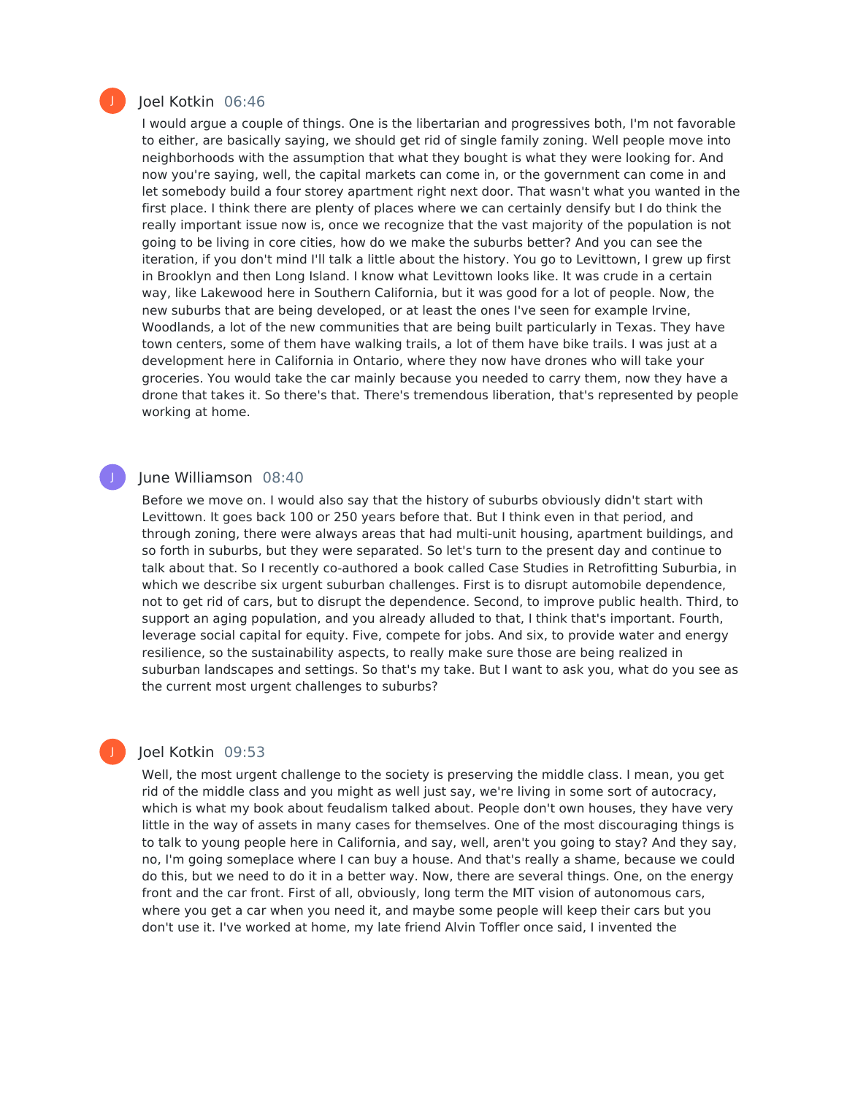

J

#### Joel Kotkin 06:46

I would argue a couple of things. One is the libertarian and progressives both, I'm not favorable to either, are basically saying, we should get rid of single family zoning. Well people move into neighborhoods with the assumption that what they bought is what they were looking for. And now you're saying, well, the capital markets can come in, or the government can come in and let somebody build a four storey apartment right next door. That wasn't what you wanted in the first place. I think there are plenty of places where we can certainly densify but I do think the really important issue now is, once we recognize that the vast majority of the population is not going to be living in core cities, how do we make the suburbs better? And you can see the iteration, if you don't mind I'll talk a little about the history. You go to Levittown, I grew up first in Brooklyn and then Long Island. I know what Levittown looks like. It was crude in a certain way, like Lakewood here in Southern California, but it was good for a lot of people. Now, the new suburbs that are being developed, or at least the ones I've seen for example Irvine, Woodlands, a lot of the new communities that are being built particularly in Texas. They have town centers, some of them have walking trails, a lot of them have bike trails. I was just at a development here in California in Ontario, where they now have drones who will take your groceries. You would take the car mainly because you needed to carry them, now they have a drone that takes it. So there's that. There's tremendous liberation, that's represented by people working at home.

#### June Williamson 08:40

Before we move on. I would also say that the history of suburbs obviously didn't start with Levittown. It goes back 100 or 250 years before that. But I think even in that period, and through zoning, there were always areas that had multi-unit housing, apartment buildings, and so forth in suburbs, but they were separated. So let's turn to the present day and continue to talk about that. So I recently co-authored a book called Case Studies in Retrofitting Suburbia, in which we describe six urgent suburban challenges. First is to disrupt automobile dependence, not to get rid of cars, but to disrupt the dependence. Second, to improve public health. Third, to support an aging population, and you already alluded to that, I think that's important. Fourth, leverage social capital for equity. Five, compete for jobs. And six, to provide water and energy resilience, so the sustainability aspects, to really make sure those are being realized in suburban landscapes and settings. So that's my take. But I want to ask you, what do you see as the current most urgent challenges to suburbs?

#### Joel Kotkin 09:53

Well, the most urgent challenge to the society is preserving the middle class. I mean, you get rid of the middle class and you might as well just say, we're living in some sort of autocracy, which is what my book about feudalism talked about. People don't own houses, they have very little in the way of assets in many cases for themselves. One of the most discouraging things is to talk to young people here in California, and say, well, aren't you going to stay? And they say, no, I'm going someplace where I can buy a house. And that's really a shame, because we could do this, but we need to do it in a better way. Now, there are several things. One, on the energy front and the car front. First of all, obviously, long term the MIT vision of autonomous cars, where you get a car when you need it, and maybe some people will keep their cars but you don't use it. I've worked at home, my late friend Alvin Toffler once said, I invented the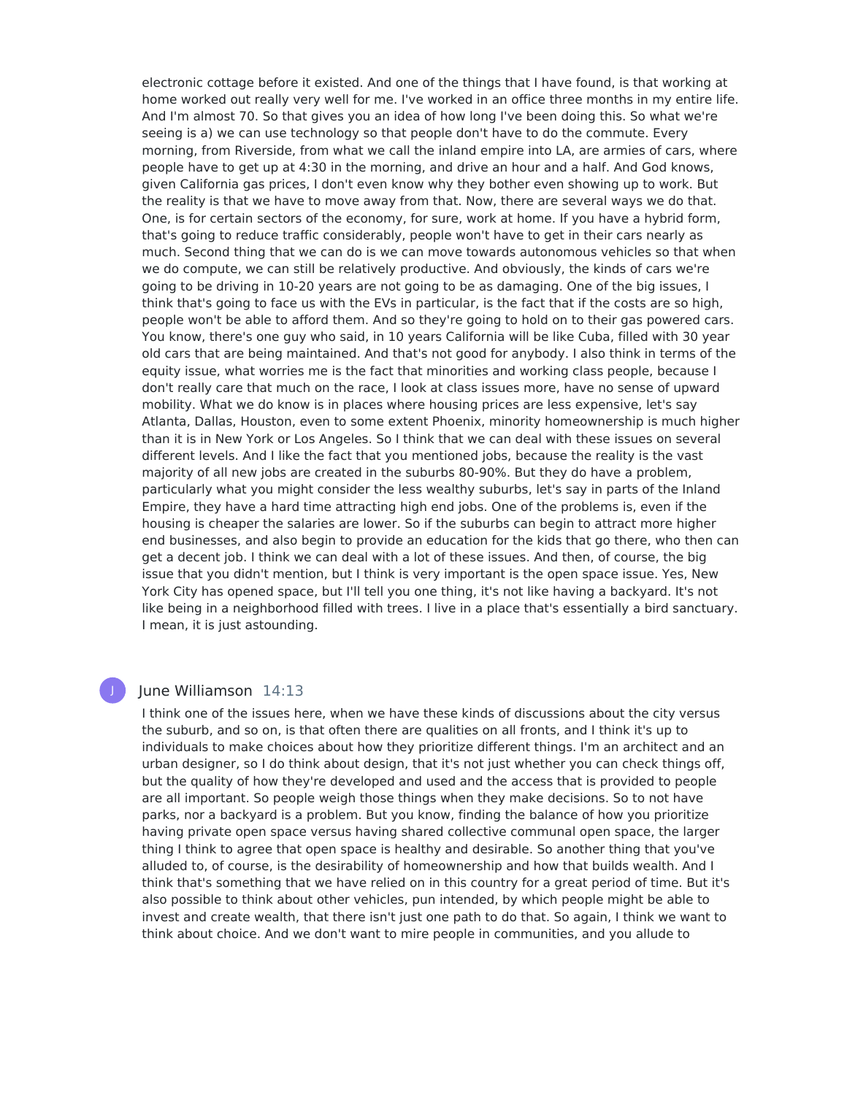electronic cottage before it existed. And one of the things that I have found, is that working at home worked out really very well for me. I've worked in an office three months in my entire life. And I'm almost 70. So that gives you an idea of how long I've been doing this. So what we're seeing is a) we can use technology so that people don't have to do the commute. Every morning, from Riverside, from what we call the inland empire into LA, are armies of cars, where people have to get up at 4:30 in the morning, and drive an hour and a half. And God knows, given California gas prices, I don't even know why they bother even showing up to work. But the reality is that we have to move away from that. Now, there are several ways we do that. One, is for certain sectors of the economy, for sure, work at home. If you have a hybrid form, that's going to reduce traffic considerably, people won't have to get in their cars nearly as much. Second thing that we can do is we can move towards autonomous vehicles so that when we do compute, we can still be relatively productive. And obviously, the kinds of cars we're going to be driving in 10-20 years are not going to be as damaging. One of the big issues, I think that's going to face us with the EVs in particular, is the fact that if the costs are so high, people won't be able to afford them. And so they're going to hold on to their gas powered cars. You know, there's one guy who said, in 10 years California will be like Cuba, filled with 30 year old cars that are being maintained. And that's not good for anybody. I also think in terms of the equity issue, what worries me is the fact that minorities and working class people, because I don't really care that much on the race, I look at class issues more, have no sense of upward mobility. What we do know is in places where housing prices are less expensive, let's say Atlanta, Dallas, Houston, even to some extent Phoenix, minority homeownership is much higher than it is in New York or Los Angeles. So I think that we can deal with these issues on several different levels. And I like the fact that you mentioned jobs, because the reality is the vast majority of all new jobs are created in the suburbs 80-90%. But they do have a problem, particularly what you might consider the less wealthy suburbs, let's say in parts of the Inland Empire, they have a hard time attracting high end jobs. One of the problems is, even if the housing is cheaper the salaries are lower. So if the suburbs can begin to attract more higher end businesses, and also begin to provide an education for the kids that go there, who then can get a decent job. I think we can deal with a lot of these issues. And then, of course, the big issue that you didn't mention, but I think is very important is the open space issue. Yes, New York City has opened space, but I'll tell you one thing, it's not like having a backyard. It's not like being in a neighborhood filled with trees. I live in a place that's essentially a bird sanctuary. I mean, it is just astounding.

#### June Williamson 14:13

I think one of the issues here, when we have these kinds of discussions about the city versus the suburb, and so on, is that often there are qualities on all fronts, and I think it's up to individuals to make choices about how they prioritize different things. I'm an architect and an urban designer, so I do think about design, that it's not just whether you can check things off, but the quality of how they're developed and used and the access that is provided to people are all important. So people weigh those things when they make decisions. So to not have parks, nor a backyard is a problem. But you know, finding the balance of how you prioritize having private open space versus having shared collective communal open space, the larger thing I think to agree that open space is healthy and desirable. So another thing that you've alluded to, of course, is the desirability of homeownership and how that builds wealth. And I think that's something that we have relied on in this country for a great period of time. But it's also possible to think about other vehicles, pun intended, by which people might be able to invest and create wealth, that there isn't just one path to do that. So again, I think we want to think about choice. And we don't want to mire people in communities, and you allude to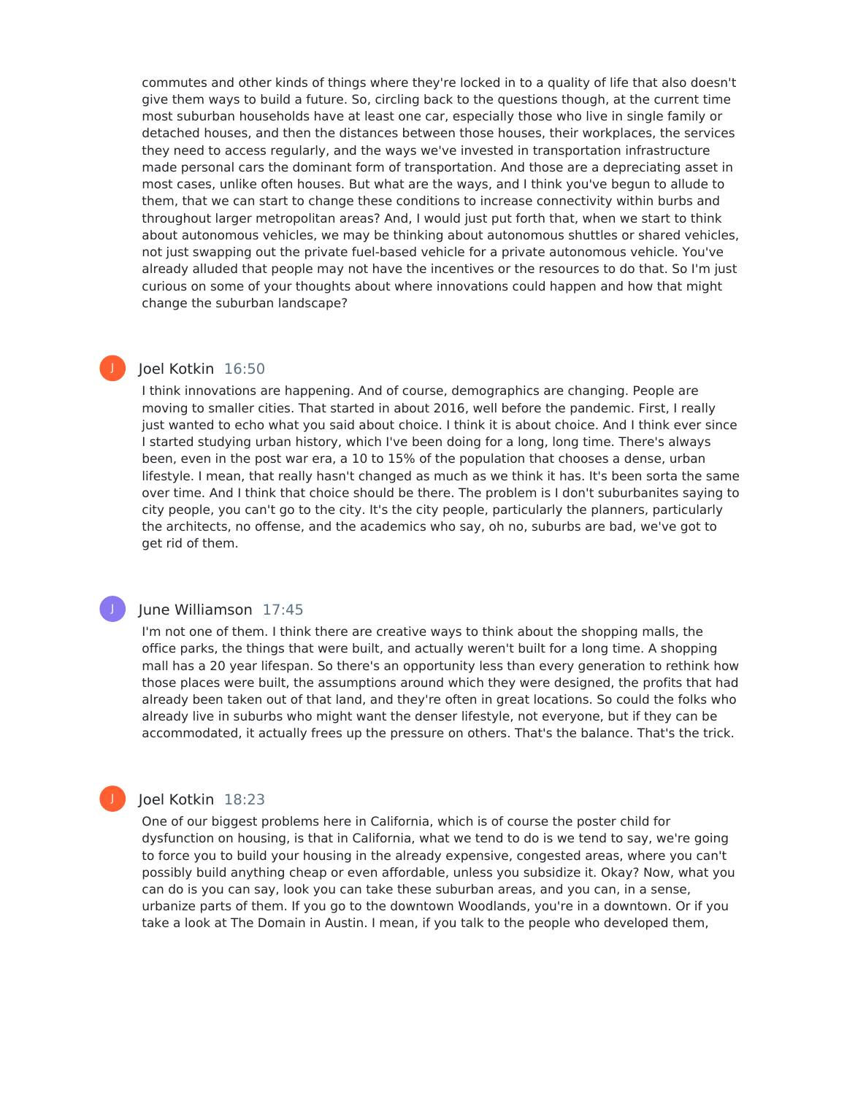commutes and other kinds of things where they're locked in to a quality of life that also doesn't give them ways to build a future. So, circling back to the questions though, at the current time most suburban households have at least one car, especially those who live in single family or detached houses, and then the distances between those houses, their workplaces, the services they need to access regularly, and the ways we've invested in transportation infrastructure made personal cars the dominant form of transportation. And those are a depreciating asset in most cases, unlike often houses. But what are the ways, and I think you've begun to allude to them, that we can start to change these conditions to increase connectivity within burbs and throughout larger metropolitan areas? And, I would just put forth that, when we start to think about autonomous vehicles, we may be thinking about autonomous shuttles or shared vehicles, not just swapping out the private fuel-based vehicle for a private autonomous vehicle. You've already alluded that people may not have the incentives or the resources to do that. So I'm just curious on some of your thoughts about where innovations could happen and how that might change the suburban landscape?

# Joel Kotkin 16:50

J

J

I think innovations are happening. And of course, demographics are changing. People are moving to smaller cities. That started in about 2016, well before the pandemic. First, I really just wanted to echo what you said about choice. I think it is about choice. And I think ever since I started studying urban history, which I've been doing for a long, long time. There's always been, even in the post war era, a 10 to 15% of the population that chooses a dense, urban lifestyle. I mean, that really hasn't changed as much as we think it has. It's been sorta the same over time. And I think that choice should be there. The problem is I don't suburbanites saying to city people, you can't go to the city. It's the city people, particularly the planners, particularly the architects, no offense, and the academics who say, oh no, suburbs are bad, we've got to get rid of them.

#### June Williamson 17:45

I'm not one of them. I think there are creative ways to think about the shopping malls, the office parks, the things that were built, and actually weren't built for a long time. A shopping mall has a 20 year lifespan. So there's an opportunity less than every generation to rethink how those places were built, the assumptions around which they were designed, the profits that had already been taken out of that land, and they're often in great locations. So could the folks who already live in suburbs who might want the denser lifestyle, not everyone, but if they can be accommodated, it actually frees up the pressure on others. That's the balance. That's the trick.

#### Joel Kotkin 18:23

One of our biggest problems here in California, which is of course the poster child for dysfunction on housing, is that in California, what we tend to do is we tend to say, we're going to force you to build your housing in the already expensive, congested areas, where you can't possibly build anything cheap or even affordable, unless you subsidize it. Okay? Now, what you can do is you can say, look you can take these suburban areas, and you can, in a sense, urbanize parts of them. If you go to the downtown Woodlands, you're in a downtown. Or if you take a look at The Domain in Austin. I mean, if you talk to the people who developed them,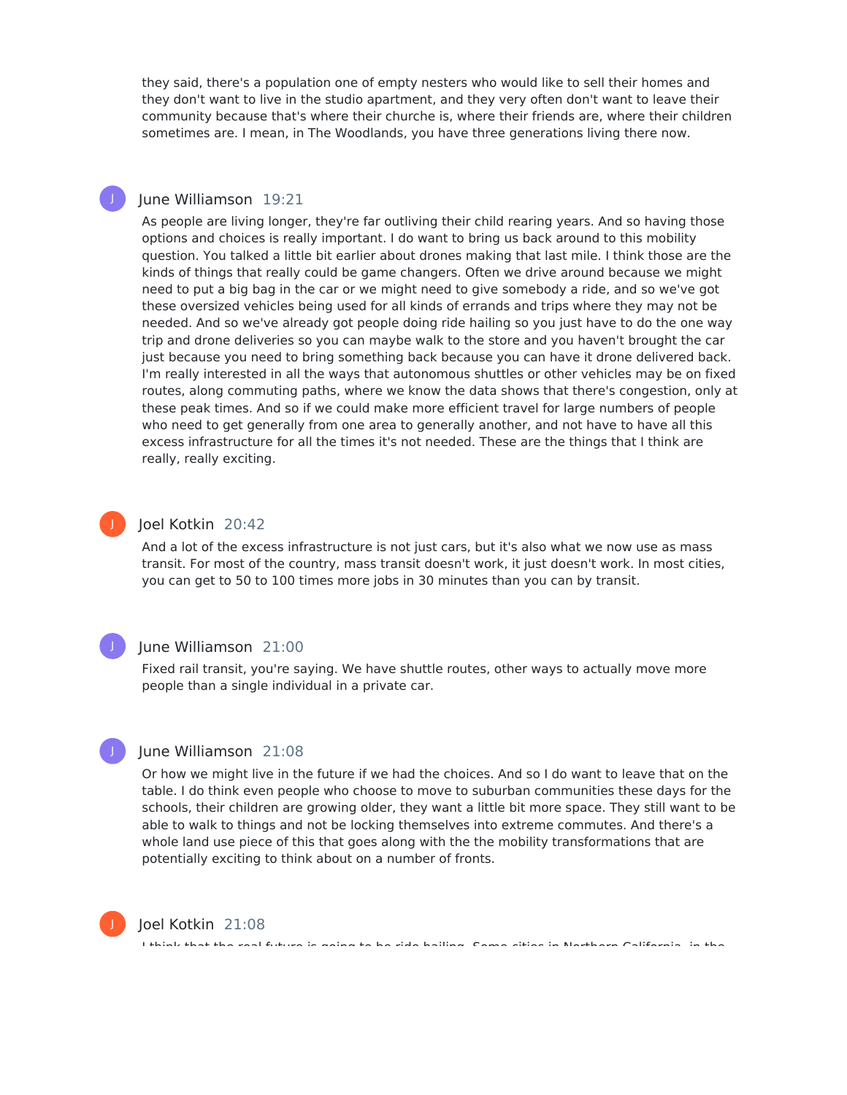they said, there's a population one of empty nesters who would like to sell their homes and they don't want to live in the studio apartment, and they very often don't want to leave their community because that's where their churche is, where their friends are, where their children sometimes are. I mean, in The Woodlands, you have three generations living there now.

#### June Williamson 19:21

J

J

J

J

As people are living longer, they're far outliving their child rearing years. And so having those options and choices is really important. I do want to bring us back around to this mobility question. You talked a little bit earlier about drones making that last mile. I think those are the kinds of things that really could be game changers. Often we drive around because we might need to put a big bag in the car or we might need to give somebody a ride, and so we've got these oversized vehicles being used for all kinds of errands and trips where they may not be needed. And so we've already got people doing ride hailing so you just have to do the one way trip and drone deliveries so you can maybe walk to the store and you haven't brought the car just because you need to bring something back because you can have it drone delivered back. I'm really interested in all the ways that autonomous shuttles or other vehicles may be on fixed routes, along commuting paths, where we know the data shows that there's congestion, only at these peak times. And so if we could make more efficient travel for large numbers of people who need to get generally from one area to generally another, and not have to have all this excess infrastructure for all the times it's not needed. These are the things that I think are really, really exciting.

#### Joel Kotkin 20:42

And a lot of the excess infrastructure is not just cars, but it's also what we now use as mass transit. For most of the country, mass transit doesn't work, it just doesn't work. In most cities, you can get to 50 to 100 times more jobs in 30 minutes than you can by transit.

#### June Williamson 21:00

Fixed rail transit, you're saying. We have shuttle routes, other ways to actually move more people than a single individual in a private car.

#### June Williamson 21:08

Or how we might live in the future if we had the choices. And so I do want to leave that on the table. I do think even people who choose to move to suburban communities these days for the schools, their children are growing older, they want a little bit more space. They still want to be able to walk to things and not be locking themselves into extreme commutes. And there's a whole land use piece of this that goes along with the the mobility transformations that are potentially exciting to think about on a number of fronts.



#### Joel Kotkin 21:08

I think that the real future is going to be ride hailing. Some cities in Northern California, in the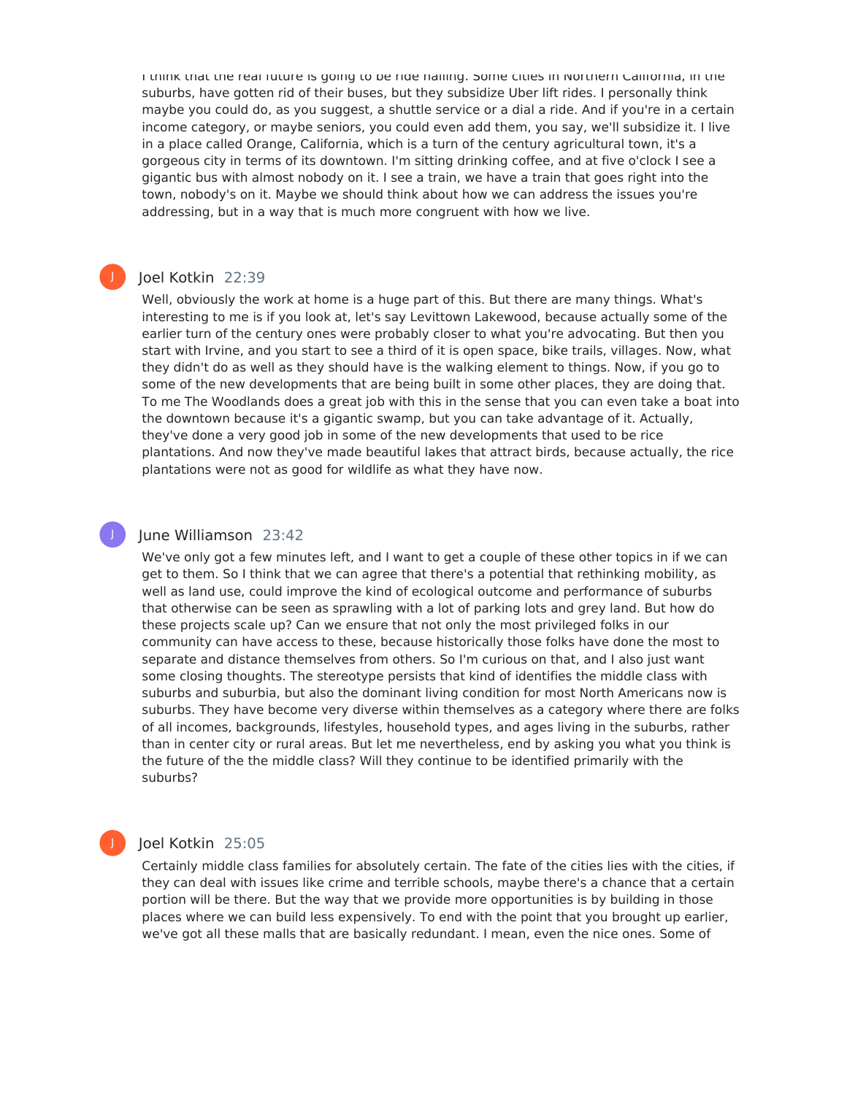I think that the real future is going to be ride hailing. Some cities in Northern California, in the suburbs, have gotten rid of their buses, but they subsidize Uber lift rides. I personally think maybe you could do, as you suggest, a shuttle service or a dial a ride. And if you're in a certain income category, or maybe seniors, you could even add them, you say, we'll subsidize it. I live in a place called Orange, California, which is a turn of the century agricultural town, it's a gorgeous city in terms of its downtown. I'm sitting drinking coffee, and at five o'clock I see a gigantic bus with almost nobody on it. I see a train, we have a train that goes right into the town, nobody's on it. Maybe we should think about how we can address the issues you're addressing, but in a way that is much more congruent with how we live.

#### Joel Kotkin 22:39

J

J

Well, obviously the work at home is a huge part of this. But there are many things. What's interesting to me is if you look at, let's say Levittown Lakewood, because actually some of the earlier turn of the century ones were probably closer to what you're advocating. But then you start with Irvine, and you start to see a third of it is open space, bike trails, villages. Now, what they didn't do as well as they should have is the walking element to things. Now, if you go to some of the new developments that are being built in some other places, they are doing that. To me The Woodlands does a great job with this in the sense that you can even take a boat into the downtown because it's a gigantic swamp, but you can take advantage of it. Actually, they've done a very good job in some of the new developments that used to be rice plantations. And now they've made beautiful lakes that attract birds, because actually, the rice plantations were not as good for wildlife as what they have now.

#### June Williamson 23:42

We've only got a few minutes left, and I want to get a couple of these other topics in if we can get to them. So I think that we can agree that there's a potential that rethinking mobility, as well as land use, could improve the kind of ecological outcome and performance of suburbs that otherwise can be seen as sprawling with a lot of parking lots and grey land. But how do these projects scale up? Can we ensure that not only the most privileged folks in our community can have access to these, because historically those folks have done the most to separate and distance themselves from others. So I'm curious on that, and I also just want some closing thoughts. The stereotype persists that kind of identifies the middle class with suburbs and suburbia, but also the dominant living condition for most North Americans now is suburbs. They have become very diverse within themselves as a category where there are folks of all incomes, backgrounds, lifestyles, household types, and ages living in the suburbs, rather than in center city or rural areas. But let me nevertheless, end by asking you what you think is the future of the the middle class? Will they continue to be identified primarily with the suburbs?

#### Joel Kotkin 25:05

Certainly middle class families for absolutely certain. The fate of the cities lies with the cities, if they can deal with issues like crime and terrible schools, maybe there's a chance that a certain portion will be there. But the way that we provide more opportunities is by building in those places where we can build less expensively. To end with the point that you brought up earlier, we've got all these malls that are basically redundant. I mean, even the nice ones. Some of